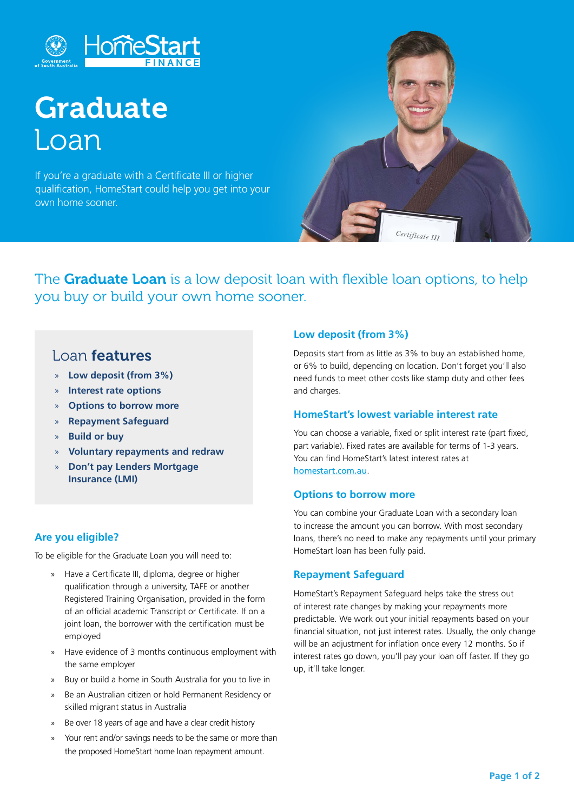

# **Graduate** Loan

If you're a graduate with a Certificate III or higher qualification, HomeStart could help you get into your own home sooner.



The **Graduate Loan** is a low deposit loan with flexible loan options, to help you buy or build your own home sooner.

# Loan features

- » **Low deposit (from 3%)**
- » **Interest rate options**
- » **Options to borrow more**
- » **Repayment Safeguard**
- » **Build or buy**
- » **Voluntary repayments and redraw**
- » **Don't pay Lenders Mortgage Insurance (LMI)**

# **Are you eligible?**

To be eligible for the Graduate Loan you will need to:

- » Have a Certificate III, diploma, degree or higher qualification through a university, TAFE or another Registered Training Organisation, provided in the form of an official academic Transcript or Certificate. If on a joint loan, the borrower with the certification must be employed
- » Have evidence of 3 months continuous employment with the same employer
- » Buy or build a home in South Australia for you to live in
- » Be an Australian citizen or hold Permanent Residency or skilled migrant status in Australia
- » Be over 18 years of age and have a clear credit history
- » Your rent and/or savings needs to be the same or more than the proposed HomeStart home loan repayment amount.

# **Low deposit (from 3%)**

Deposits start from as little as 3% to buy an established home, or 6% to build, depending on location. Don't forget you'll also need funds to meet other costs like stamp duty and other fees and charges.

### **HomeStart's lowest variable interest rate**

You can choose a variable, fixed or split interest rate (part fixed, part variable). Fixed rates are available for terms of 1-3 years. You can find HomeStart's latest interest rates at homestart.com.au.

### **Options to borrow more**

You can combine your Graduate Loan with a secondary loan to increase the amount you can borrow. With most secondary loans, there's no need to make any repayments until your primary HomeStart loan has been fully paid.

# **Repayment Safeguard**

HomeStart's Repayment Safeguard helps take the stress out of interest rate changes by making your repayments more predictable. We work out your initial repayments based on your financial situation, not just interest rates. Usually, the only change will be an adjustment for inflation once every 12 months. So if interest rates go down, you'll pay your loan off faster. If they go up, it'll take longer.